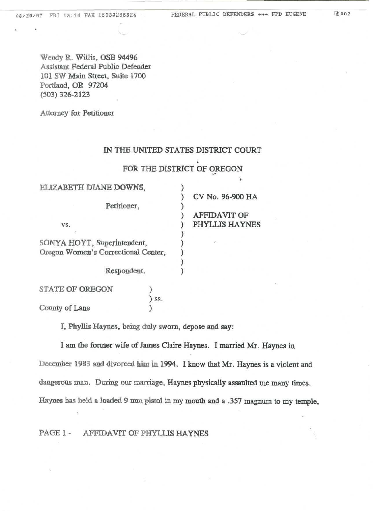v.

Wendy R. Willis, OSB 94496 Assistant Federal Public Defender 101 SW Main Street, Suite 1700 Portland, OR 97204 (503) 326-2123

Attorney for Petitioner

## IN THE UNITED STATES DISTRICT COURT

## FOR THE DISTRICT OF OREGON

| ELIZABETH DIANE DOWNS,              |     |                     |
|-------------------------------------|-----|---------------------|
|                                     |     | CV No. 96-900 HA    |
| Petitioner,                         |     |                     |
|                                     |     | <b>AFFIDAVIT OF</b> |
| VS.                                 |     | PHYLLIS HAYNES      |
|                                     |     |                     |
| SONYA HOYT, Superintendent,         |     |                     |
| Oregon Women's Correctional Center, |     |                     |
|                                     |     |                     |
| Respondent.                         |     |                     |
| <b>STATE OF OREGON</b>              |     |                     |
|                                     | SS. |                     |

County of Lane )

t

I, Phyllis Haynes, being duly sworn, depose and say:

I am the former wife of James Claire Haynes. I married Mr. Haynes in December 1983 and divorced him in 1994, I know that Mr. Haynes is a violent and dangerous man. During our marriage, Haynes physically assaulted me many times. Haynes has held *&* loaded 9 mm pistol in my mouth and a .357 magnum to my temple,

## PAGE 1 - AFFIDAVIT OF PHYLLIS HAYNES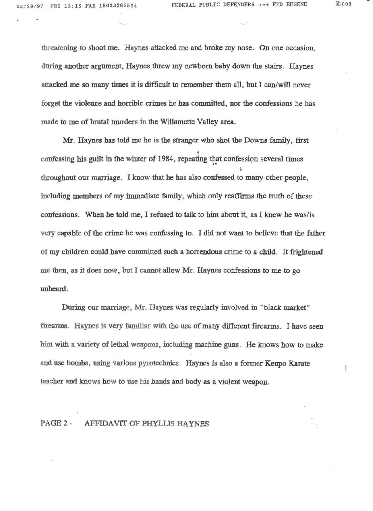threatening to shoot me. Haynes attacked me and broke my nose. On one occasion, during another argument, Haynes threw my newborn baby down the stairs. Haynes attacked me so many times it is difficult to remember them all, but I can/will never forget the violence and horrible crimes he has committed, nor the confessions he has made to me of brutal murders in the Willamette Valley area.

Mr. Haynes has told me he is the stranger who shot the Downs family, first i confessing his guilt in the winter of 1984, repeating that confession several times v. throughout our marriage. I know that he has also confessed to many other people, including members of my immediate family, which only reaffirms the truth of these confessions. When he told me, I refused to talk to him about it, as I knew he was/is very capable of the crime he was confessing to. I did not want to believe that the father of my children could have committed such a horrendous crime to a child. It frightened me then, as it does now, but I cannot allow Mr. Haynes confessions to me to go unheard.

During our marriage, Mr. Haynes was regularly involved in "black market" firearms. Haynes is very familiar with the use of many different firearms. I have seen him with a variety of lethal weapons, including machine guns. He knows how to make and use bombs, using various pyrotechnics. Haynes is also a former Kenpo Karate teacher and knows how to use his hands and body as a violent weapon.

## PAGE 2 - AFFIDAVIT OF PHYLLIS HAYNES